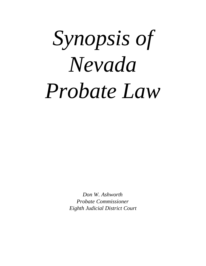# *Synopsis of Nevada Probate Law*

*Don W. Ashworth Probate Commissioner Eighth Judicial District Court*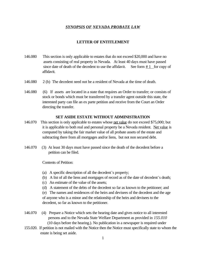#### *SYNOPSIS OF NEVADA PROBATE LAW*

#### **LETTER OF ENTITLEMENT**

- 146.080 This section is only applicable to estates that do not exceed \$20,000 and have no assets consisting of real property in Nevada. At least 40 days must have passed since date of death of the decedent to use the affidavit. See form  $# 1$  for copy of affidavit.
- 146.080 2 (b) The decedent need not be a resident of Nevada at the time of death.
- 146.080 (6) If assets are located in a state that requires an Order to transfer; or consists of stock or bonds which must be transferred by a transfer agent outside this state, the interested party can file an ex parte petition and receive from the Court an Order directing the transfer.

#### **SET ASIDE ESTATE WITHOUT ADMINISTRATION**

- 146.070 This section is only applicable to estates whose net value do not exceed \$75,000; but it is applicable to both real and personal property be a Nevada resident. Net value is computed by taking the fair market value of all probate assets of the estate and subtracting there from all mortgages and/or liens, but not non secured debt.
- 146.070 (3) At least 30 days must have passed since the death of the decedent before a petition can be filed.

Contents of Petition:

- (a) A specific description of all the decedent's property;
- (b) A list of all the liens and mortgages of record as of the date of decedent\*s death;
- (c) An estimate of the value of the assets;
- (d) A statement of the debts of the decedent so far as known to the petitioner; and

 (e) The names and residences of the heirs and devisees of the decedent and the age of anyone who is a minor and the relationship of the heirs and devisees to the decedent, so far as known to the petitioner.

- 146.070 (4) Prepare a Notice which sets the hearing date and gives notice to all interested persons and to the Nevada State Welfare Department as provided in *155.010*  (10 days before the hearing.). No publication in a newspaper is required under
- 155.020. If petition is not mailed with the Notice then the Notice must specifically state to whom the estate is being set aside.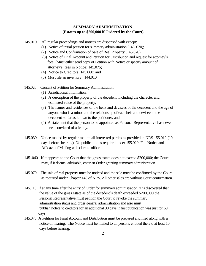# **SUMMARY ADMINISTRATION (Estates up to \$200,000 if Ordered by the Court)**

- 145.010 All regular proceedings and notices are dispensed with except:
	- (1) Notice of initial petition for summary administration (145 .030);
	- (2) Notice and Confirmation of Sale of Real Property (145.070);
	- (3) Notice of Final Account and Petition for Distribution and request for attorney\*s fees (Must either send copy of Petition with Notice or specify amount of attorney's fees in Notice) 145.075;
	- (4) Notice to Creditors, 145.060; and
	- (5) Must file an inventory. 144.010
- 145.020 Content of Petition for Summary Administration:
	- (1) Jurisdictional information;
	- (2) A description of the property of the decedent, including the character and estimated value of the property;
	- (3) The names and residences of the heirs and devisees of the decedent and the age of anyone who is a minor and the relationship of each heir and devisee to the decedent so far as known to the petitioner; and
	- (4) A statement that the person to be appointed as Personal Representative has never been convicted of a felony.
- 145.030 Notice mailed by regular mail to all interested parties as provided in NRS 155.010 (10 days before hearing). No publication is required under 155.020. File Notice and Affidavit of Mailing with clerk's office.
- 145 .040 If it appears to the Court that the gross estate does not exceed \$200,000; the Court may, if it deems advisable, enter an Order granting summary administration.
- 145.070 The sale of real property must be noticed and the sale must be confirmed by the Court as required under Chapter 148 of NRS. All other sales are without Court confirmation.
- 145.110 If at any time after the entry of Order for summary administration, it is discovered that the value of the gross estate as of the decedent's death exceeded \$200,000 the Personal Representative must petition the Court to revoke the summary administration status and order general administration and also must publish notice to creditors for an additional 30 days if first publication was just for 60 days.
- 145.075 A Petition for Final Account and Distribution must be prepared and filed along with a notice of hearing. The Notice must be mailed to all persons entitled thereto at least 10 days before hearing.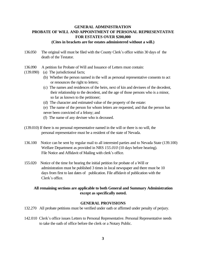# **GENERAL ADMINISTRATION PROBATE OF WILL AND APPOINTMENT OF PERSONAL REPRESENTATiVE FOR ESTATES OVER \$200,000 (Cites in brackets are for estates administered without a will.)**

# 136.050 The original will must be filed with the County Clerk\*s office within 30 days of the death of the Testator.

- 
- 136.090 A petition for Probate of Will and Issuance of Letters must contain:
- (139.090) (a) The jurisdictional facts;
	- (b) Whether the person named in the will as personal representative consents to act or renounces the right to letters;
	- (c) The names and residences of the heirs, next of kin and devisees of the decedent, their relationship to the decedent, and the age of those persons who is a minor, so far as known to the petitioner;
	- (d) The character and estimated value of the property of the estate:
	- (e) The name of the person for whom letters are requested, and that the person has never been convicted of a felony; and
	- (f) The name of any devisee who is deceased.
- (139.010) If there is no personal representative named in the will or there is no will, the personal representative must be a resident of the state of Nevada.
- 136.100 Notice can be sent by regular mail to all interested parties and to Nevada State (139.100) Welfare Department as provided in NRS *155.010* (10 days before hearing). File Notice and Affidavit of Mailing with clerk's office.
- 155.020 Notice of the time for hearing the initial petition for probate of a Will or administration must be published 3 times in local newspaper and there must be 10 days from first to last dates of publication. File affidavit of publication with the Clerk\*s office.

# **All remaining sections are applicable to both General and Summary Administration except as specifically noted.**

### **GENERAL PROVISIONS**

- 132.270 All probate petitions must be verified under oath or affirmed under penalty of perjury.
- 142.010 Clerk's office issues Letters to Personal Representative. Personal Representative needs to take the oath of office before the clerk or a Notary Public.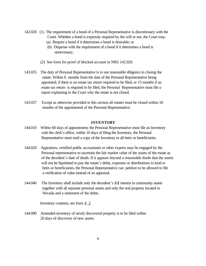- 142.020 (1) The requirement of a bond of a Personal Representative is discretionary with the Court. Whether a bond is expressly required by the will or not, the Court may:
	- (a) Require a bond if it determines a bond is desirable; or
	- (b) Dispense with the requirement of a bond if it determines a bond is unnecessary.
	- (2) See form for proof of blocked account in NRS 142.020.
- 143.035 The duty of Personal Representative is to use reasonable diligence in closing the estate. Within 6 months from the date of the Personal Representative being appointed, if there is no estate tax return required to be filed, or 15 months if an estate tax return is required to be filed, the Personal Representative must file a report explaining to the Court why the estate is not closed.
- 143.037 Except as otherwise provided in this section all estates must be closed within 18 months of the appointment of the Personal Representative.

#### *INVENTORY*

- 144.010 Within 60 days of appointment, the Personal Representative must file an Inventory with the clerk's office; within 10 days of filing the Inventory, the Personal Representative must mail a copy of the Inventory to all heirs or beneficiaries.
- 144.020 Appraisers, certified public accountants or other experts may be engaged by the Personal representative to ascertain the fair market value of the assets of the estate as of the decedent\*s date of death. If it appears beyond a reasonable doubt that the assets will not be liquidated to pay the estate's debts, expenses or distributions in kind to heirs or beneficiaries, the Personal Representative can petition to be allowed to file a verification of value instead of an appraisal.
- 144.040 The Inventory shall include only the decedent\*s **1/2** interest in community assets together with all separate personal assets and only the real property located in Nevada and a statement of the debts.

Inventory contents, see form  $# 2$ 

144.090 Amended inventory of newly discovered property is to be filed within 20 days of discovery of new assets.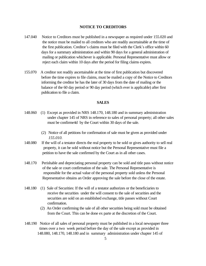#### **NOTICE TO CREDITORS**

- 147.040 Notice to Creditors must be published in a newspaper as required under 155.020 and the notice must be mailed to all creditors who are readily ascertainable at the time of the first publication. Creditor's claims must be filed with the Clerk's office within 60 days for a summary administration and within 90 days for a general administration of mailing or publication whichever is applicable. Personal Representative must allow or reject each claim within 10 days after the period for filing claims expires.
- 155.070 A creditor not readily ascertainable at the time of first publication but discovered before the time expires to file claims, must be mailed a copy of the Notice to Creditors informing the creditor he has the later of 30 days from the date of mailing or the balance of the 60 day period or 90 day period (which ever is applicable) after first publication to file a claim.

#### **SALES**

- 148.060 (1) Except as provided in NRS 148.170, 148.180 and in summary administration under chapter 145 of NRS in reference to sales of personal property; all other sales must be confirme4d by the Court within 30 days of the sale.
	- (2) Notice of all petitions for confirmation of sale must be given as provided under  *155.010.*
- 148.080 If the will of a testator directs the real property to be sold or gives authority to sell real property, it can be sold without notice but the Personal Representative must file a petition to have the sale confirmed by the Court as in all other cases.
- 148.170 Perishable and depreciating personal property can be sold and title pass without notice of the sale or court confirmation of the sale. The Personal Representative is responsible for the actual value of the personal property sold unless the Personal Representative obtains an Order approving the sale before the close of the estate.
- 148.180 (1) Sale of Securities: If the will of a testator authorizes or the beneficiaries to receive the securities under the will consent to the sale of securities and the securities are sold on an established exchange, title passes without Court confirmation.
	- (2) An Order confirming the sale of all other securities being sold must be obtained from the Court. This can be done ex parte at the discretion of the Court.
- 148.190 Notice of all sales of personal property must be published in a local newspaper three times over a two week period before the day of the sale except as provided in 148.080, 148.170, 148.180 and in summary administration under chapter 145 of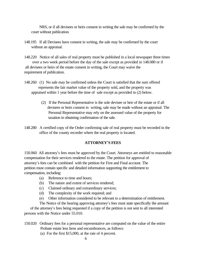NRS, or if all devisees or heirs consent in writing the sale may be confirmed by the court without publication.

- 148.195 If all Devisees have consent in writing, the sale may be confirmed by the court without an appraisal.
- 148.220 Notice of all sales of real property must be published in a local newspaper three times over a two week period before the day of the sale except as provided in 148.080 or if all devisees or heirs of the estate consent in writing, the Court may waive the requirement of publication.
- 148.260 (1) No sale may be confirmed unless the Court is satisfied that the sum offered represents the fair market value of the property sold, and the property was appraised within 1 year before the time of sale except as provided in (2) below.
	- (2) If the Personal Representative is the sole devisee or heir of the estate or if all devisees or heirs consent in writing, sale may be made without an appraisal. The Personal Representative may rely on the assessed value of the property for taxation in obtaining confirmation of the sale.
- 148.280 A certified copy of the Order confirming sale of real property must be recorded in the office of the county recorder where the real property is located.

#### **ATTORNEY\*S FEES**

150.060 All attorney's fees must be approved by the Court. Attorneys are entitled to reasonable compensation for their services rendered to the estate. The petition for approval of attorney\*s fees can be combined with the petition for First and Final account. The petition must contain specific and detailed information supporting the entitlement to compensation, including:

- (a) Reference to time and hours;
- (b) The nature and extent of services rendered;
- (c) Claimed ordinary and extraordinary services;
- (d) The complexity of the work required; and
- (e) Other information considered to be relevant to a determination of entitlement.

The Notice of the hearing approving attorney's fees must state specifically the amount of the attorney\*s fees being requested if a copy of the petition is not sent to all interested

persons with the Notice under 55.010.

- 150.020 Ordinary fees for a personal representative are computed on the value of the entire Probate estate less liens and encumbrances, as follows:
	- (a) For the first \$15,000, at the rate of 4 percent.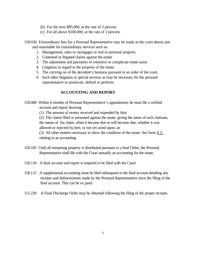- (b) For the next \$85,000, at the rate of 3 percent.
- (c) For all above \$100,000, at the rate of 2 percent.
- 150.030 Extraordinary fees for a Personal Representative may be made as the court deems just and reasonable for extraordinary services such as:
	- 1. Management, sales or mortgages or real or personal property.
	- 2. Contested or litigated claims against the estate
	- 3. The adjustment and payments of extensive or complicate estate taxes.
	- 4. Litigation in regard to the property of the estate.
	- 5. The carrying on of the decedent's business pursuant to an order of the court.
	- 6. Such other litigation or special services as may be necessary for the personal representative to prosecute, defend or perform.

## **ACCOUNTING AND REPORT**

- 150.080 Within 6 months of Personal Representative's appointment, he must file a verified account and report showing:
	- (1) The amount of money received and expended by him;

 (2) The claims filed or presented against the estate, giving the name of each claimant, the nature of his claim, when it became due or will become due, whether it was allowed or rejected by him, or not yet acted upon; an

(3) All other matters necessary to show the condition of the estate. See form  $\frac{\text{# 3}}{2}$ relating to an accounting.

- 150.105 Until all remaining property is distributed pursuant to a final Order, the Personal Representative shall file with the Court annually an accounting for the estate.
- 150.110 A final account and report is required to be filed with the Court
- 150.115 A supplemental accounting must be filed subsequent to the final account detailing any receipts and disbursements made by the Personal Representative since the filing of the final account. This can be ex parte.
- 151.230 A Final Discharge Order may be obtained following the filing of the proper receipts.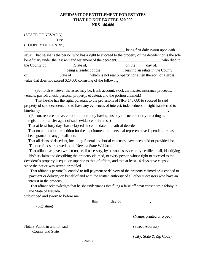# **AFFIDAVIT OF ENTITLEMENT FOR ESTATES THAT DO NOT EXCEED S20,000 NRS 146.080**

(STATE OF NEVADA) ) ss: (COUNTY OF CLARK)

being first duly sworn upon oath says: That he/she is the person who has a right to succeed to the property of the decedent or is the sole beneficiary under the last will and testament of the decedent, who died in the County of The State of State of The County of The County of The State of The County of The County of The County of The County of The County of The County of The County of The County of The County of The County of The C , being a resident of the set all planests are stated in the County of\_\_\_\_\_\_\_\_\_\_\_\_\_\_\_, State of\_\_\_\_\_\_\_\_\_, which is not real property nor a lien thereon, of a gross value that does not exceed \$20,000 consisting of the following:

\_\_\_\_\_\_\_\_\_\_\_\_\_\_\_\_\_\_\_\_\_\_\_\_\_\_\_\_\_\_\_\_\_\_\_\_\_\_\_\_\_\_\_\_\_\_\_\_\_\_\_\_\_\_\_\_\_\_\_\_\_\_\_\_\_\_\_\_\_\_\_\_\_\_\_\_\_\_

 (Set forth whatever the asset may be: Bank account, stock certificate, insurance proceeds, vehicle, payroll check, personal property, et cetera, and the portion claimed.)

 That he/she has the right, pursuant to the provisions of NRS 146.080 to succeed to said property of said decedent, and to have any evidences of interest, indebtedness or right transferred to him/her by

 (Person, representative, corporation or body having custody of such property or acting as registrar or transfer agent of such evidence of interest.)

That at least forty days have elapsed since the date of death of decedent.

 That no application or petition for the appointment of a personal representative is pending or has been granted in any jurisdiction.

 That all debts of decedent, including funeral and burial expenses, have been paid or provided for. That no funds are owed to the Nevada State Welfare.

 That affiant has given written notice, if necessary, by personal service or by certified mail, identifying his/her claim and describing the property claimed, to every person whose right to succeed to the decedent's property is equal or superior to that of affiant, and that at least 14 days have elapsed

since the notice was served or mailed.

 That affiant is personally entitled to full payment or delivery of the property claimed or is entitled to payment or delivery on behalf of and with the written authority of all other successors who have an interest in the property.

 That affiant acknowledges that he/she understands that filing a false affidavit constitutes a felony in the State of Nevada.

 $\overline{\phantom{a}}$  , and the contract of the contract of the contract of the contract of the contract of the contract of the contract of the contract of the contract of the contract of the contract of the contract of the contrac

 $\overline{\phantom{a}}$  , and the contract of the contract of the contract of the contract of the contract of the contract of the contract of the contract of the contract of the contract of the contract of the contract of the contrac

Subscribed and sworn to before me

 $\frac{1}{2}$  this  $\frac{1}{2}$  day of  $\frac{1}{2}$ ,

(Signature)

(Name, printed or typed)

Notary Public in and for said (Street Address) County and State

(City, State & Zip Code)

FORM 1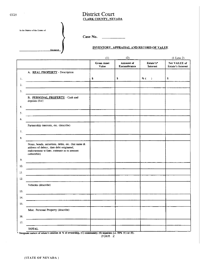# District Court **CLARK COUNTY, NEVADA**

| In the Matter of the Estate of |          |
|--------------------------------|----------|
|                                |          |
|                                | Deceased |

Case No.  $\qquad \qquad$ 

#### **INVENTORY, APPRAISAL AND RECORD OF VALUE**

|         |                                                                                                                                                             | (1)                         | (2)                      |                              | $(1$ Less 2)                             |
|---------|-------------------------------------------------------------------------------------------------------------------------------------------------------------|-----------------------------|--------------------------|------------------------------|------------------------------------------|
|         |                                                                                                                                                             | <b>Gross Asset</b><br>Value | Amount of<br>Encumbrance | Estate's*<br><b>Interest</b> | Net VALUE of<br><b>Estate's Interest</b> |
|         | A. REAL PROPERTY - Description                                                                                                                              |                             |                          |                              |                                          |
| 1.      |                                                                                                                                                             | \$                          | \$                       | % (<br>$\lambda$             | $\mathbf s$                              |
| 2.      |                                                                                                                                                             |                             |                          |                              |                                          |
| 3.      |                                                                                                                                                             |                             |                          |                              |                                          |
|         | B. PERSONAL PROPERTY - Cash and<br>deposits (list)                                                                                                          |                             |                          |                              |                                          |
| 4.      |                                                                                                                                                             |                             |                          |                              |                                          |
| 5.      |                                                                                                                                                             |                             |                          |                              |                                          |
| 6.      |                                                                                                                                                             |                             |                          |                              |                                          |
| $7. \,$ | Partnership interests, etc. (describe)                                                                                                                      |                             |                          |                              |                                          |
| 8.      |                                                                                                                                                             |                             |                          |                              |                                          |
|         | Notes, bonds, securities, debts, etc. (list name &<br>address of debtor, date debt originated,<br>endorsement w/date, estimate as to amount<br>collectible) |                             |                          |                              |                                          |
| 9.      |                                                                                                                                                             |                             |                          |                              |                                          |
| 10.     |                                                                                                                                                             |                             |                          |                              |                                          |
| 11.     |                                                                                                                                                             |                             |                          |                              |                                          |
| 12.     |                                                                                                                                                             |                             |                          |                              |                                          |
|         | Vehicles (describe)                                                                                                                                         |                             |                          |                              |                                          |
| 13.     |                                                                                                                                                             |                             |                          |                              |                                          |
| 14.     |                                                                                                                                                             |                             |                          |                              |                                          |
| 15.     |                                                                                                                                                             |                             |                          |                              |                                          |
|         | Misc. Personal Property (describe)                                                                                                                          |                             |                          |                              |                                          |
| 16.     |                                                                                                                                                             |                             |                          |                              |                                          |
| 17.     |                                                                                                                                                             |                             |                          |                              |                                          |
|         | <b>TOTAL</b>                                                                                                                                                |                             |                          |                              |                                          |
|         |                                                                                                                                                             |                             |                          |                              |                                          |

Designate nature of estate's interest & % of ownership, (C) community; (S) separate; i.e. 50% (C) or (S).<br>FORM 2 ×

 $\sim$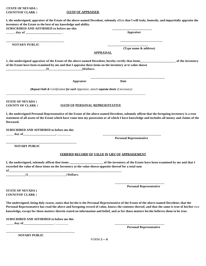| (STATE OF NEVADA)                                                                                                    |                                                                                                           |                                                                                                                                                                                                                                                                                                                                                                                                                                       |                  |
|----------------------------------------------------------------------------------------------------------------------|-----------------------------------------------------------------------------------------------------------|---------------------------------------------------------------------------------------------------------------------------------------------------------------------------------------------------------------------------------------------------------------------------------------------------------------------------------------------------------------------------------------------------------------------------------------|------------------|
| <b>COUNTYOF CLARK</b> )                                                                                              | <b>OATH OF APPRAISER</b>                                                                                  |                                                                                                                                                                                                                                                                                                                                                                                                                                       |                  |
| inventory of the Estate to the best of my knowledge and ability.<br><b>SUBSCRIBED AND AFFIRMED to before me this</b> |                                                                                                           | I, the undersigned, appraiser of the Estate of the above-named Decedent, solemnly affirm that I will truly, honestly, and impartially appraise the                                                                                                                                                                                                                                                                                    |                  |
|                                                                                                                      |                                                                                                           | Appraiser                                                                                                                                                                                                                                                                                                                                                                                                                             |                  |
| <b>NOTARY PUBLIC</b>                                                                                                 |                                                                                                           |                                                                                                                                                                                                                                                                                                                                                                                                                                       |                  |
|                                                                                                                      |                                                                                                           | (Type name & address)                                                                                                                                                                                                                                                                                                                                                                                                                 |                  |
|                                                                                                                      | <b>APPRAISAL</b>                                                                                          |                                                                                                                                                                                                                                                                                                                                                                                                                                       |                  |
|                                                                                                                      |                                                                                                           |                                                                                                                                                                                                                                                                                                                                                                                                                                       | of the inventory |
|                                                                                                                      | of the Estate have been examined by me and that I appraise these items on the inventory at te value shown |                                                                                                                                                                                                                                                                                                                                                                                                                                       |                  |
|                                                                                                                      | Appraiser                                                                                                 | Date                                                                                                                                                                                                                                                                                                                                                                                                                                  |                  |
|                                                                                                                      | (Repeat Oath & Certification for each Appraiser, attach separate sheets if necessary)                     |                                                                                                                                                                                                                                                                                                                                                                                                                                       |                  |
| <b>STATE OF NEVADA</b> )                                                                                             |                                                                                                           |                                                                                                                                                                                                                                                                                                                                                                                                                                       |                  |
| <b>COUNTY OF CLARK</b> )                                                                                             | <b>OATH OF PERSONAL REPRESENTATIVE</b>                                                                    |                                                                                                                                                                                                                                                                                                                                                                                                                                       |                  |
| Deceased.<br><b>SUBSCRIBED AND AFFIRMED to before me this</b>                                                        |                                                                                                           | I, the undersigned Personal Representative of the Estate of the above-named Decedent, solemnly affirm that the foregoing inventory is a true<br>statement of all assets of the Estate which have come into my possession or of which I have knowledge and includes all money and claims of the                                                                                                                                        |                  |
|                                                                                                                      |                                                                                                           |                                                                                                                                                                                                                                                                                                                                                                                                                                       |                  |
|                                                                                                                      |                                                                                                           | <b>Personal Representative</b>                                                                                                                                                                                                                                                                                                                                                                                                        |                  |
| <b>NOTARY PUBLIC</b>                                                                                                 |                                                                                                           |                                                                                                                                                                                                                                                                                                                                                                                                                                       |                  |
|                                                                                                                      | <u>VERIFIED RECORD OF VALUE IN LIEU OF APPRAISEMENT</u>                                                   |                                                                                                                                                                                                                                                                                                                                                                                                                                       |                  |
|                                                                                                                      | recorded the value of these items on the Inventory at the value shown opposite thereof for a total sum    | I, the undersigned, solemnly affirm that items _______________________ of the inventory of the Estate have been examined by me and that I                                                                                                                                                                                                                                                                                             |                  |
| $\frac{1}{2}$ Dollars.                                                                                               |                                                                                                           |                                                                                                                                                                                                                                                                                                                                                                                                                                       |                  |
|                                                                                                                      |                                                                                                           | <b>Personal Representative</b>                                                                                                                                                                                                                                                                                                                                                                                                        |                  |
| <b>STATE OF NEVADA</b> )<br><b>COUNIYOF CLARK</b> )                                                                  |                                                                                                           |                                                                                                                                                                                                                                                                                                                                                                                                                                       |                  |
|                                                                                                                      |                                                                                                           | The undersigned, being duly sworn, states that he/she is the Personal Representative of the Estate of the above-named Decedent; that the<br>Personal Representative has read the above and foregoing record of value, knows the contents thereof, and that the same is true of his/her own<br>knowledge, except for those matters therein stated on information and belief, and as for those matters he/she believes them to be true. |                  |
| <b>SUBSCRIBED AND AFFIRMED to before me this</b>                                                                     |                                                                                                           |                                                                                                                                                                                                                                                                                                                                                                                                                                       |                  |
|                                                                                                                      |                                                                                                           | <b>Personal Representative</b>                                                                                                                                                                                                                                                                                                                                                                                                        |                  |

**NOTARY PUBLIC** 

**\_\_\_\_\_\_\_\_\_\_\_\_\_\_\_\_\_\_\_\_\_\_\_\_\_\_\_\_\_\_\_\_\_\_\_\_\_\_\_**

FORM **2—A**